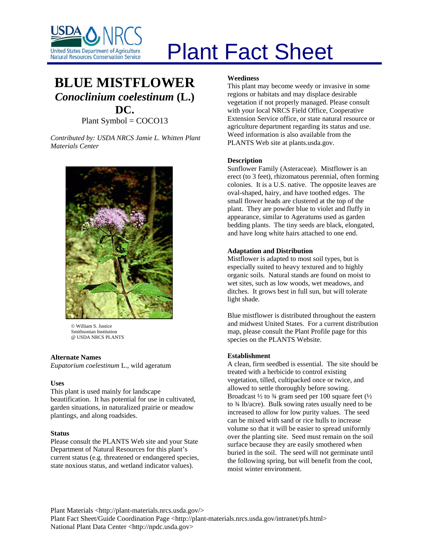

# Plant Fact Sheet

# **BLUE MISTFLOWER** *Conoclinium coelestinum* **(L.) DC.** Plant Symbol = COCO13

*Contributed by: USDA NRCS Jamie L. Whitten Plant Materials Center* 



© William S. Justice Smithsonian Institution @ USDA NRCS PLANTS

## **Alternate Names**

*Eupatorium coelestinum* L., wild ageratum

## **Uses**

This plant is used mainly for landscape beautification. It has potential for use in cultivated, garden situations, in naturalized prairie or meadow plantings, and along roadsides.

## **Status**

Please consult the PLANTS Web site and your State Department of Natural Resources for this plant's current status (e.g. threatened or endangered species, state noxious status, and wetland indicator values).

# **Weediness**

This plant may become weedy or invasive in some regions or habitats and may displace desirable vegetation if not properly managed. Please consult with your local NRCS Field Office, Cooperative Extension Service office, or state natural resource or agriculture department regarding its status and use. Weed information is also available from the PLANTS Web site at plants.usda.gov.

# **Description**

Sunflower Family (Asteraceae). Mistflower is an erect (to 3 feet), rhizomatous perennial, often forming colonies. It is a U.S. native. The opposite leaves are oval-shaped, hairy, and have toothed edges. The small flower heads are clustered at the top of the plant. They are powder blue to violet and fluffy in appearance, similar to Ageratums used as garden bedding plants. The tiny seeds are black, elongated, and have long white hairs attached to one end.

# **Adaptation and Distribution**

Mistflower is adapted to most soil types, but is especially suited to heavy textured and to highly organic soils. Natural stands are found on moist to wet sites, such as low woods, wet meadows, and ditches. It grows best in full sun, but will tolerate light shade.

Blue mistflower is distributed throughout the eastern and midwest United States. For a current distribution map, please consult the Plant Profile page for this species on the PLANTS Website.

## **Establishment**

A clean, firm seedbed is essential. The site should be treated with a herbicide to control existing vegetation, tilled, cultipacked once or twice, and allowed to settle thoroughly before sowing. Broadcast  $\frac{1}{2}$  to  $\frac{3}{4}$  gram seed per 100 square feet  $\left(\frac{1}{2}\right)$ to ¾ lb/acre). Bulk sowing rates usually need to be increased to allow for low purity values. The seed can be mixed with sand or rice hulls to increase volume so that it will be easier to spread uniformly over the planting site. Seed must remain on the soil surface because they are easily smothered when buried in the soil. The seed will not germinate until the following spring, but will benefit from the cool, moist winter environment.

Plant Materials <http://plant-materials.nrcs.usda.gov/> Plant Fact Sheet/Guide Coordination Page <http://plant-materials.nrcs.usda.gov/intranet/pfs.html> National Plant Data Center <http://npdc.usda.gov>